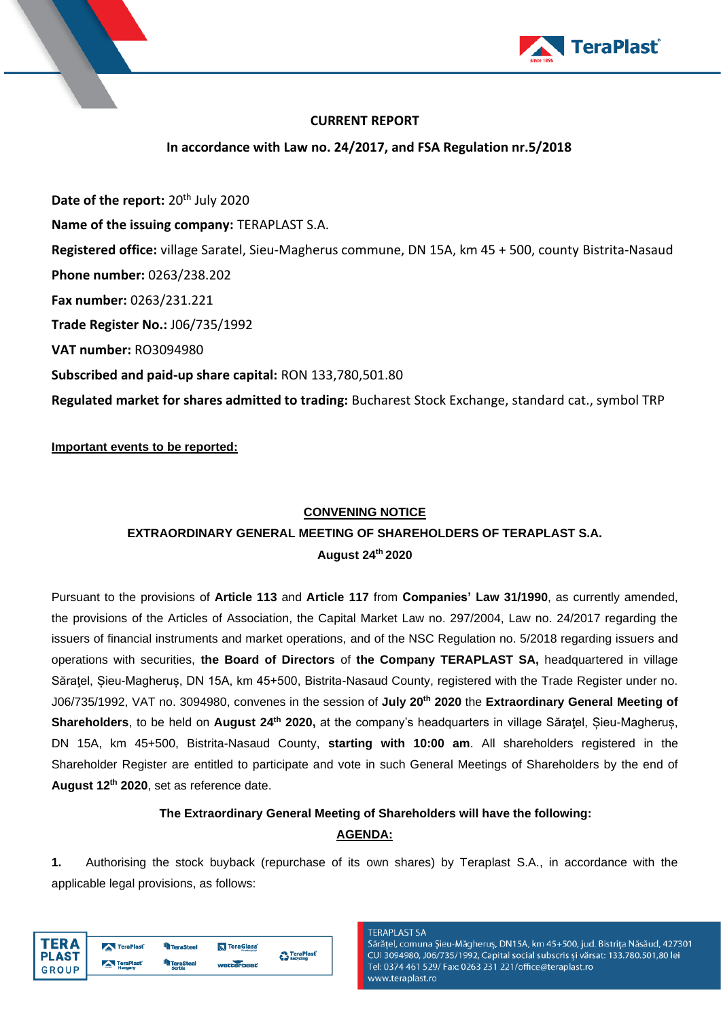

# **CURRENT REPORT**

**In accordance with Law no. 24/2017, and FSA Regulation nr.5/2018**

**Date of the report:** 20<sup>th</sup> July 2020 **Name of the issuing company:** TERAPLAST S.A. **Registered office:** village Saratel, Sieu-Magherus commune, DN 15A, km 45 + 500, county Bistrita-Nasaud **Phone number:** 0263/238.202 **Fax number:** 0263/231.221 **Trade Register No.:** J06/735/1992 **VAT number:** RO3094980 **Subscribed and paid-up share capital:** RON 133,780,501.80 **Regulated market for shares admitted to trading:** Bucharest Stock Exchange, standard cat., symbol TRP

**Important events to be reported:**

## **CONVENING NOTICE**

# **EXTRAORDINARY GENERAL MEETING OF SHAREHOLDERS OF TERAPLAST S.A. August 24 th 2020**

Pursuant to the provisions of **Article 113** and **Article 117** from **Companies' Law 31/1990**, as currently amended, the provisions of the Articles of Association, the Capital Market Law no. 297/2004, Law no. 24/2017 regarding the issuers of financial instruments and market operations, and of the NSC Regulation no. 5/2018 regarding issuers and operations with securities, **the Board of Directors** of **the Company TERAPLAST SA,** headquartered in village Săraţel, Șieu-Magheruș, DN 15A, km 45+500, Bistrita-Nasaud County, registered with the Trade Register under no. J06/735/1992, VAT no. 3094980, convenes in the session of **July 20th 2020** the **Extraordinary General Meeting of Shareholders**, to be held on **August 24 th 2020,** at the company's headquarters in village Săraţel, Șieu-Magheruș, DN 15A, km 45+500, Bistrita-Nasaud County, **starting with 10:00 am**. All shareholders registered in the Shareholder Register are entitled to participate and vote in such General Meetings of Shareholders by the end of **August 12 th 2020**, set as reference date.

# **The Extraordinary General Meeting of Shareholders will have the following:**

# **AGENDA:**

**1.** Authorising the stock buyback (repurchase of its own shares) by Teraplast S.A., in accordance with the applicable legal provisions, as follows:

| TER A        | TeraPlast            | <sup>4</sup> TeraSteel | TeraGlass  | <b>n</b> TeraPlast |
|--------------|----------------------|------------------------|------------|--------------------|
| <b>PLAST</b> |                      | <b>TeraSteel</b>       |            | <b>Recycling</b>   |
| <b>GROUP</b> | TeraPlast<br>Hungary | Serbia                 | wetterhest |                    |

### **TERAPLAST SA**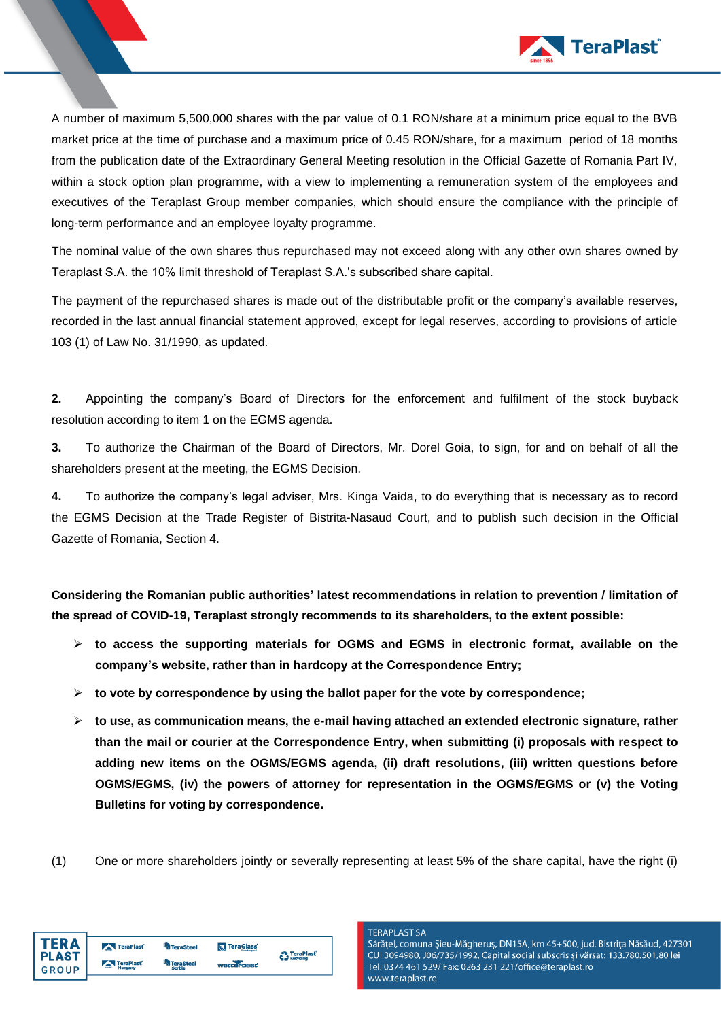

A number of maximum 5,500,000 shares with the par value of 0.1 RON/share at a minimum price equal to the BVB market price at the time of purchase and a maximum price of 0.45 RON/share, for a maximum period of 18 months from the publication date of the Extraordinary General Meeting resolution in the Official Gazette of Romania Part IV, within a stock option plan programme, with a view to implementing a remuneration system of the employees and executives of the Teraplast Group member companies, which should ensure the compliance with the principle of long-term performance and an employee loyalty programme.

The nominal value of the own shares thus repurchased may not exceed along with any other own shares owned by Teraplast S.A. the 10% limit threshold of Teraplast S.A.'s subscribed share capital.

The payment of the repurchased shares is made out of the distributable profit or the company's available reserves, recorded in the last annual financial statement approved, except for legal reserves, according to provisions of article 103 (1) of Law No. 31/1990, as updated.

**2.** Appointing the company's Board of Directors for the enforcement and fulfilment of the stock buyback resolution according to item 1 on the EGMS agenda.

**3.** To authorize the Chairman of the Board of Directors, Mr. Dorel Goia, to sign, for and on behalf of all the shareholders present at the meeting, the EGMS Decision.

**4.** To authorize the company's legal adviser, Mrs. Kinga Vaida, to do everything that is necessary as to record the EGMS Decision at the Trade Register of Bistrita-Nasaud Court, and to publish such decision in the Official Gazette of Romania, Section 4.

**Considering the Romanian public authorities' latest recommendations in relation to prevention / limitation of the spread of COVID-19, Teraplast strongly recommends to its shareholders, to the extent possible:**

- ➢ **to access the supporting materials for OGMS and EGMS in electronic format, available on the company's website, rather than in hardcopy at the Correspondence Entry;**
- ➢ **to vote by correspondence by using the ballot paper for the vote by correspondence;**
- ➢ **to use, as communication means, the e-mail having attached an extended electronic signature, rather than the mail or courier at the Correspondence Entry, when submitting (i) proposals with respect to adding new items on the OGMS/EGMS agenda, (ii) draft resolutions, (iii) written questions before OGMS/EGMS, (iv) the powers of attorney for representation in the OGMS/EGMS or (v) the Voting Bulletins for voting by correspondence.**
- (1) One or more shareholders jointly or severally representing at least 5% of the share capital, have the right (i)

| l TERA       | TeraPlast | <sup>u</sup> n TeraSteel | <b>N</b> TeraGlass | <b>P.</b> TeraPlast |
|--------------|-----------|--------------------------|--------------------|---------------------|
| <b>PLAST</b> | TeraPlast | <b>TeraSteel</b>         |                    | <b>Recycling</b>    |
| <b>GROUP</b> | Hungary   | Serbia                   | wetterbest         |                     |

### **TERAPLAST SA**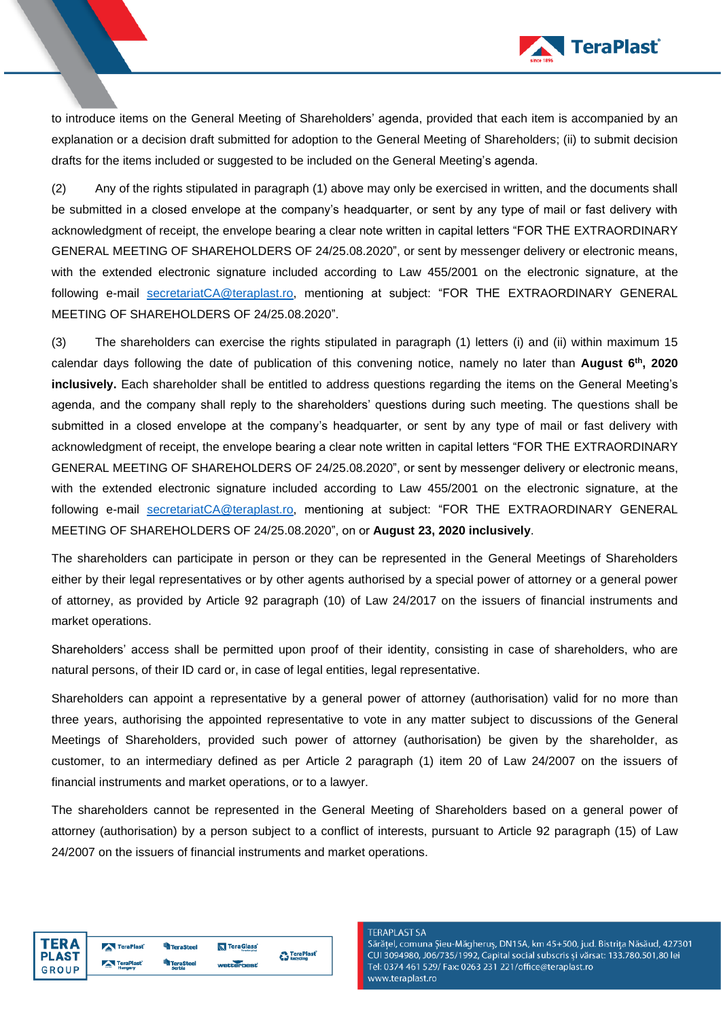

to introduce items on the General Meeting of Shareholders' agenda, provided that each item is accompanied by an explanation or a decision draft submitted for adoption to the General Meeting of Shareholders; (ii) to submit decision drafts for the items included or suggested to be included on the General Meeting's agenda.

(2) Any of the rights stipulated in paragraph (1) above may only be exercised in written, and the documents shall be submitted in a closed envelope at the company's headquarter, or sent by any type of mail or fast delivery with acknowledgment of receipt, the envelope bearing a clear note written in capital letters "FOR THE EXTRAORDINARY GENERAL MEETING OF SHAREHOLDERS OF 24/25.08.2020", or sent by messenger delivery or electronic means, with the extended electronic signature included according to Law 455/2001 on the electronic signature, at the following e-mail [secretariatCA@teraplast.ro,](mailto:secretariatCA@teraplast.ro) mentioning at subject: "FOR THE EXTRAORDINARY GENERAL MEETING OF SHAREHOLDERS OF 24/25.08.2020".

(3) The shareholders can exercise the rights stipulated in paragraph (1) letters (i) and (ii) within maximum 15 calendar days following the date of publication of this convening notice, namely no later than **August 6 th, 2020 inclusively.** Each shareholder shall be entitled to address questions regarding the items on the General Meeting's agenda, and the company shall reply to the shareholders' questions during such meeting. The questions shall be submitted in a closed envelope at the company's headquarter, or sent by any type of mail or fast delivery with acknowledgment of receipt, the envelope bearing a clear note written in capital letters "FOR THE EXTRAORDINARY GENERAL MEETING OF SHAREHOLDERS OF 24/25.08.2020", or sent by messenger delivery or electronic means, with the extended electronic signature included according to Law 455/2001 on the electronic signature, at the following e-mail [secretariatCA@teraplast.ro,](mailto:secretariatCA@teraplast.ro) mentioning at subject: "FOR THE EXTRAORDINARY GENERAL MEETING OF SHAREHOLDERS OF 24/25.08.2020", on or **August 23, 2020 inclusively**.

The shareholders can participate in person or they can be represented in the General Meetings of Shareholders either by their legal representatives or by other agents authorised by a special power of attorney or a general power of attorney, as provided by Article 92 paragraph (10) of Law 24/2017 on the issuers of financial instruments and market operations.

Shareholders' access shall be permitted upon proof of their identity, consisting in case of shareholders, who are natural persons, of their ID card or, in case of legal entities, legal representative.

Shareholders can appoint a representative by a general power of attorney (authorisation) valid for no more than three years, authorising the appointed representative to vote in any matter subject to discussions of the General Meetings of Shareholders, provided such power of attorney (authorisation) be given by the shareholder, as customer, to an intermediary defined as per Article 2 paragraph (1) item 20 of Law 24/2007 on the issuers of financial instruments and market operations, or to a lawyer.

The shareholders cannot be represented in the General Meeting of Shareholders based on a general power of attorney (authorisation) by a person subject to a conflict of interests, pursuant to Article 92 paragraph (15) of Law 24/2007 on the issuers of financial instruments and market operations.

| <b>TERA</b>  | TeraPlast | <sup>u</sup> n TeraSteel   | <b>N</b> TeraGlass | <b>A</b> TeraPlast |
|--------------|-----------|----------------------------|--------------------|--------------------|
| <b>PLAST</b> | TeraPlast | <b>TeraSteel</b><br>Serbia | wetterheet         | <b>Recycling</b>   |
| <b>GROUP</b> |           |                            |                    |                    |

### **TERAPLAST SA**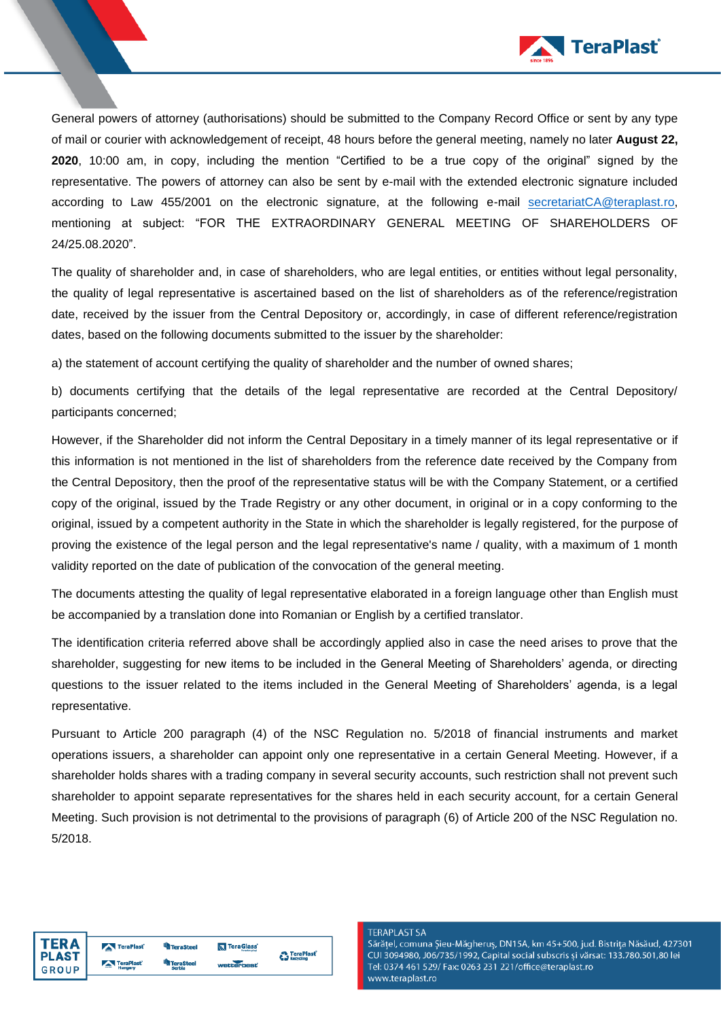

General powers of attorney (authorisations) should be submitted to the Company Record Office or sent by any type of mail or courier with acknowledgement of receipt, 48 hours before the general meeting, namely no later **August 22, 2020**, 10:00 am, in copy, including the mention "Certified to be a true copy of the original" signed by the representative. The powers of attorney can also be sent by e-mail with the extended electronic signature included according to Law 455/2001 on the electronic signature, at the following e-mail [secretariatCA@teraplast.ro,](mailto:secretariatCA@teraplast.ro) mentioning at subject: "FOR THE EXTRAORDINARY GENERAL MEETING OF SHAREHOLDERS OF 24/25.08.2020".

The quality of shareholder and, in case of shareholders, who are legal entities, or entities without legal personality, the quality of legal representative is ascertained based on the list of shareholders as of the reference/registration date, received by the issuer from the Central Depository or, accordingly, in case of different reference/registration dates, based on the following documents submitted to the issuer by the shareholder:

a) the statement of account certifying the quality of shareholder and the number of owned shares;

b) documents certifying that the details of the legal representative are recorded at the Central Depository/ participants concerned;

However, if the Shareholder did not inform the Central Depositary in a timely manner of its legal representative or if this information is not mentioned in the list of shareholders from the reference date received by the Company from the Central Depository, then the proof of the representative status will be with the Company Statement, or a certified copy of the original, issued by the Trade Registry or any other document, in original or in a copy conforming to the original, issued by a competent authority in the State in which the shareholder is legally registered, for the purpose of proving the existence of the legal person and the legal representative's name / quality, with a maximum of 1 month validity reported on the date of publication of the convocation of the general meeting.

The documents attesting the quality of legal representative elaborated in a foreign language other than English must be accompanied by a translation done into Romanian or English by a certified translator.

The identification criteria referred above shall be accordingly applied also in case the need arises to prove that the shareholder, suggesting for new items to be included in the General Meeting of Shareholders' agenda, or directing questions to the issuer related to the items included in the General Meeting of Shareholders' agenda, is a legal representative.

Pursuant to Article 200 paragraph (4) of the NSC Regulation no. 5/2018 of financial instruments and market operations issuers, a shareholder can appoint only one representative in a certain General Meeting. However, if a shareholder holds shares with a trading company in several security accounts, such restriction shall not prevent such shareholder to appoint separate representatives for the shares held in each security account, for a certain General Meeting. Such provision is not detrimental to the provisions of paragraph (6) of Article 200 of the NSC Regulation no. 5/2018.

| TERA         | TeraPlast | <b>TeraSteel</b> | <b>N</b> TeraGlass | TeraPlast        |
|--------------|-----------|------------------|--------------------|------------------|
| <b>PLAST</b> |           | <b>TeraSteel</b> | wetterheat         | <b>Recycling</b> |
| GROUP        | TeraPlast | Serbia           |                    |                  |

### **TERAPLAST SA**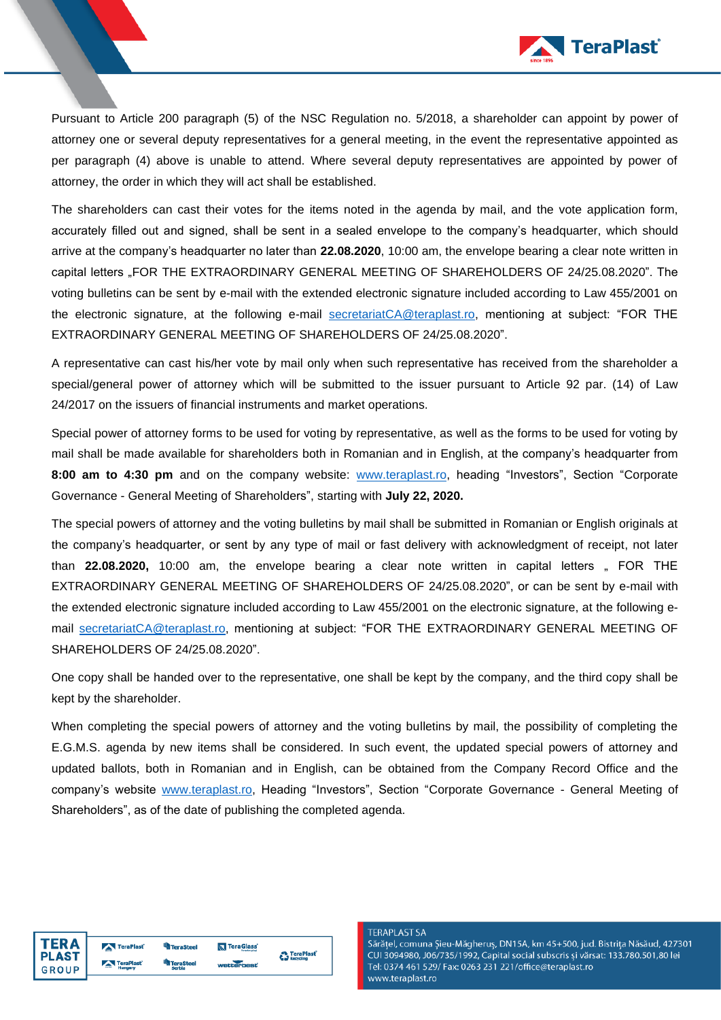

Pursuant to Article 200 paragraph (5) of the NSC Regulation no. 5/2018, a shareholder can appoint by power of attorney one or several deputy representatives for a general meeting, in the event the representative appointed as per paragraph (4) above is unable to attend. Where several deputy representatives are appointed by power of attorney, the order in which they will act shall be established.

The shareholders can cast their votes for the items noted in the agenda by mail, and the vote application form, accurately filled out and signed, shall be sent in a sealed envelope to the company's headquarter, which should arrive at the company's headquarter no later than **22.08.2020**, 10:00 am, the envelope bearing a clear note written in capital letters "FOR THE EXTRAORDINARY GENERAL MEETING OF SHAREHOLDERS OF 24/25.08.2020". The voting bulletins can be sent by e-mail with the extended electronic signature included according to Law 455/2001 on the electronic signature, at the following e-mail [secretariatCA@teraplast.ro,](mailto:secretariatCA@teraplast.ro) mentioning at subject: "FOR THE EXTRAORDINARY GENERAL MEETING OF SHAREHOLDERS OF 24/25.08.2020".

A representative can cast his/her vote by mail only when such representative has received from the shareholder a special/general power of attorney which will be submitted to the issuer pursuant to Article 92 par. (14) of Law 24/2017 on the issuers of financial instruments and market operations.

Special power of attorney forms to be used for voting by representative, as well as the forms to be used for voting by mail shall be made available for shareholders both in Romanian and in English, at the company's headquarter from **8:00 am to 4:30 pm** and on the company website: [www.teraplast.ro,](http://www.teraplast.ro/) heading "Investors", Section "Corporate Governance - General Meeting of Shareholders", starting with **July 22, 2020.**

The special powers of attorney and the voting bulletins by mail shall be submitted in Romanian or English originals at the company's headquarter, or sent by any type of mail or fast delivery with acknowledgment of receipt, not later than **22.08.2020**, 10:00 am, the envelope bearing a clear note written in capital letters "FOR THE EXTRAORDINARY GENERAL MEETING OF SHAREHOLDERS OF 24/25.08.2020", or can be sent by e-mail with the extended electronic signature included according to Law 455/2001 on the electronic signature, at the following email [secretariatCA@teraplast.ro,](mailto:secretariatCA@teraplast.ro) mentioning at subject: "FOR THE EXTRAORDINARY GENERAL MEETING OF SHAREHOLDERS OF 24/25.08.2020".

One copy shall be handed over to the representative, one shall be kept by the company, and the third copy shall be kept by the shareholder.

When completing the special powers of attorney and the voting bulletins by mail, the possibility of completing the E.G.M.S. agenda by new items shall be considered. In such event, the updated special powers of attorney and updated ballots, both in Romanian and in English, can be obtained from the Company Record Office and the company's website [www.teraplast.ro,](http://www.teraplast.ro/) Heading "Investors", Section "Corporate Governance - General Meeting of Shareholders", as of the date of publishing the completed agenda.

| TER A        | TeraPlast | <b>TeraSteel</b> | <b>N</b> TeraGlass | <b>P</b> TeraPlast |
|--------------|-----------|------------------|--------------------|--------------------|
| <b>PLAST</b> | TeraPlast | <b>TeraSteel</b> |                    | <b>Recycling</b>   |
| GROUP        | Hungary   | Serbia           | wetterheat         |                    |